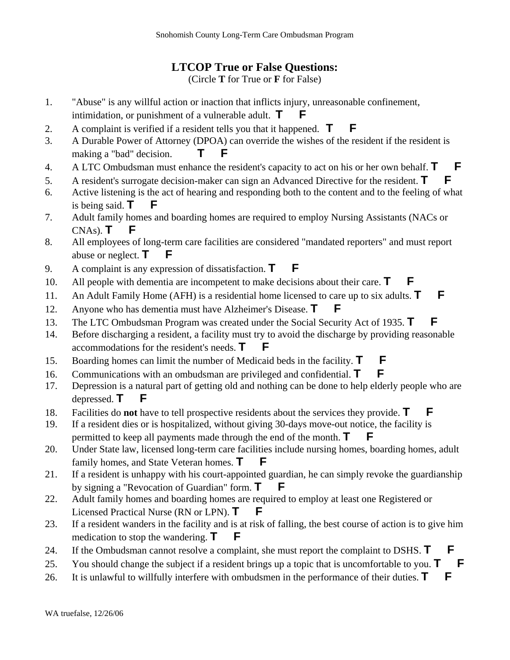## **LTCOP True or False Questions:**

(Circle **T** for True or **F** for False)

- 1. "Abuse" is any willful action or inaction that inflicts injury, unreasonable confinement, intimidation, or punishment of a vulnerable adult. **T**
- 2. A complaint is verified if a resident tells you that it happened. **T F**
- 3. A Durable Power of Attorney (DPOA) can override the wishes of the resident if the resident is making a "bad" decision. **T F**
- 4. A LTC Ombudsman must enhance the resident's capacity to act on his or her own behalf. **T F**
- 5. A resident's surrogate decision-maker can sign an Advanced Directive for the resident. **T F**
- 6. Active listening is the act of hearing and responding both to the content and to the feeling of what is being said.  $\mathbf{T}$
- 7. Adult family homes and boarding homes are required to employ Nursing Assistants (NACs or  $CNAs$ ).  $T$  **F**
- 8. All employees of long-term care facilities are considered "mandated reporters" and must report abuse or neglect. **T**
- 9. A complaint is any expression of dissatisfaction. **T F**
- 10. All people with dementia are incompetent to make decisions about their care. **T**
- 11. An Adult Family Home (AFH) is a residential home licensed to care up to six adults. **T F**
- 12. Anyone who has dementia must have Alzheimer's Disease. **T**
- 13. The LTC Ombudsman Program was created under the Social Security Act of 1935. **T F**
- 14. Before discharging a resident, a facility must try to avoid the discharge by providing reasonable accommodations for the resident's needs. **T**
- 15. Boarding homes can limit the number of Medicaid beds in the facility. **T F**
- 16. Communications with an ombudsman are privileged and confidential. **T F**
- 17. Depression is a natural part of getting old and nothing can be done to help elderly people who are depressed. **T F**
- 18. Facilities do **not** have to tell prospective residents about the services they provide. **T F**
- 19. If a resident dies or is hospitalized, without giving 30-days move-out notice, the facility is permitted to keep all payments made through the end of the month. **T**
- 20. Under State law, licensed long-term care facilities include nursing homes, boarding homes, adult family homes, and State Veteran homes. **T**
- 21. If a resident is unhappy with his court-appointed guardian, he can simply revoke the guardianship by signing a "Revocation of Guardian" form. **T**
- 22. Adult family homes and boarding homes are required to employ at least one Registered or Licensed Practical Nurse (RN or LPN). **T**
- 23. If a resident wanders in the facility and is at risk of falling, the best course of action is to give him medication to stop the wandering.  $\mathbf{T}$   $\mathbf{F}$
- 24. If the Ombudsman cannot resolve a complaint, she must report the complaint to DSHS. **T F**
- 25. You should change the subject if a resident brings up a topic that is uncomfortable to you. **T F**
- 26. It is unlawful to willfully interfere with ombudsmen in the performance of their duties. **T**